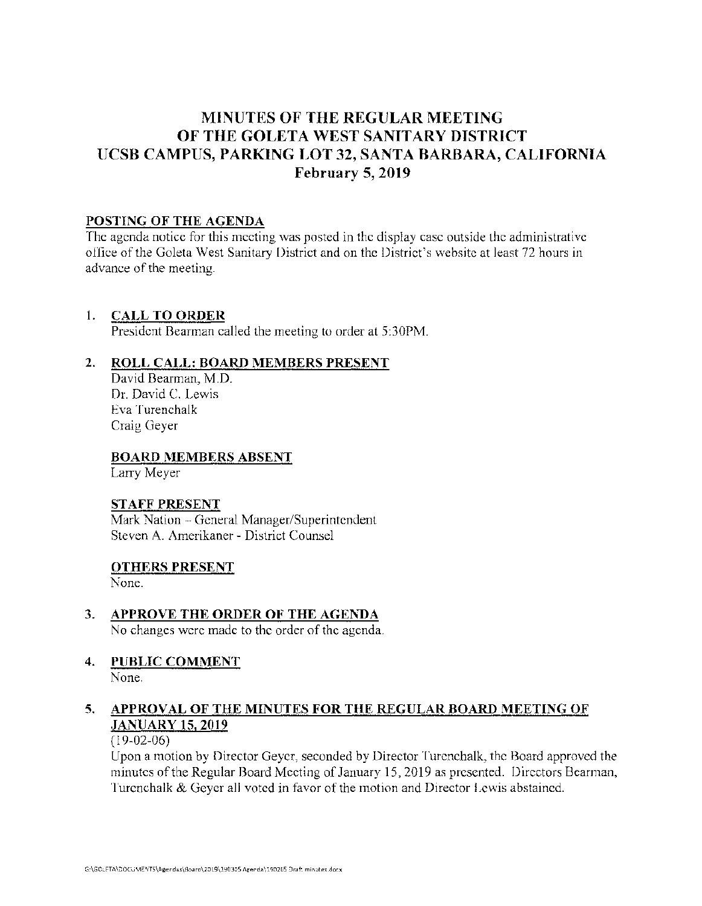# **MINUTES OF THE REGULAR MEETING OF THE GOLETA WEST SANITARY DISTRICT UCSB CAMPUS, PARKING LOT 32, SANTA BARBARA, CALIFORNIA February 5, 2019**

#### **POSTING OF THE AGENDA**

The agenda notice for this meeting was posted in the display case outside the administrative office of the Goleta West Sanitary District and on the District's website at least 72 hours in advance of the meeting.

## **1. CALL TO ORDER**

President Bearman called the meeting to order at 5:30PM.

# **2. ROLL CALL: BOARD MEMBERS PRESENT**

David Bearman, M.D. Dr. David C. Lewis Eva Turenchalk Craig Geyer

## **BOARD MEMBERS ABSENT**

Larry Meyer

#### **STAFF PRESENT**

Mark Nation - General Manager/Superintendent Steven A. Amerikaner - District Counsel

#### **OTHERS PRESENT**

None.

- **3. APPROVE THE ORDER OF THE AGENDA**  No changes were made to the order of the agenda.
- **4. PUBLIC COMMENT**  None.

# **5. APPROVAL OF THE MINUTES FOR THE REGULAR BOARD MEETING OF JANUARY 15, 2019**

#### (19-02-06)

Upon a motion by Director Geyer, seconded by Director Turenchalk, the Board approved the minutes of the Regular Board Meeting of January 15, 2019 as presented. Directors Bearman, Turenchalk & Geyer all voted in favor of the motion and Director Lewis abstained.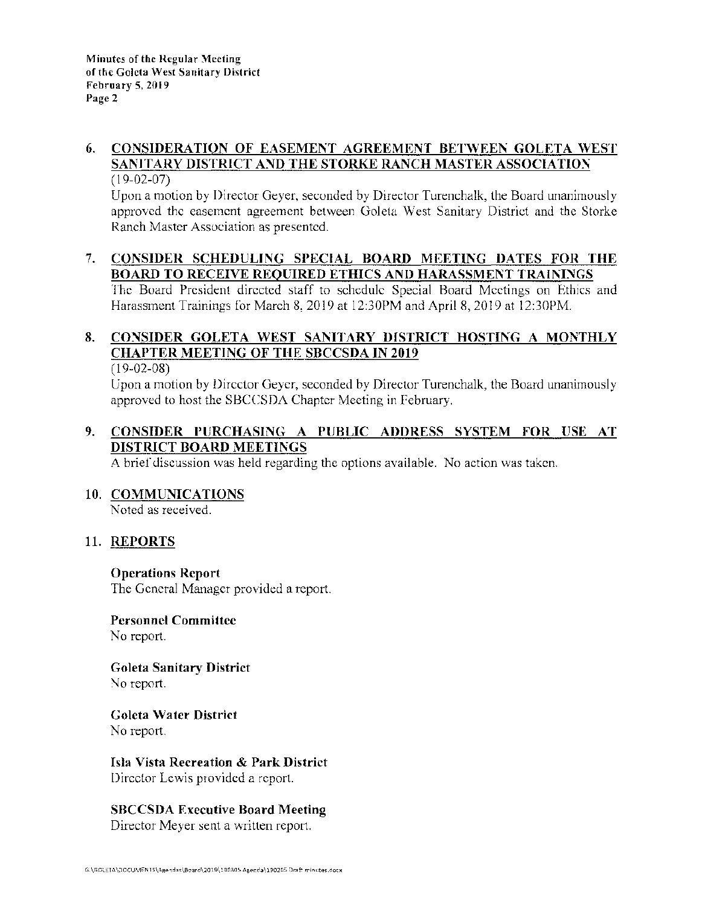#### **6. CONSIDERATION OF EASEMENT AGREEMENT BETWEEN GOLETA WEST SANITARY DISTRICT AND THE STORKE RANCH MASTER ASSOCIATION**  (19-02-07)

Upon a motion by Director Geyer, seconded by Director Turenchalk, the Board unanimously approved the easement agreement between Goleta West Sanitary District and the Storke Ranch Master Association as presented.

## 7. **CONSIDER SCHEDULING SPECIAL BOARD MEETING DATES FOR THE BOARD TO RECEIVE REQUIRED ETHICS AND HARASSMENT TRAININGS**

The Board President directed staff to schedule Special Board Meetings on Ethics and Harassment Trainings for March 8, 2019 at 12:30PM and April 8, 2019 at 12:30PM.

# **8. CONSIDER GOLETA WEST SANITARY DISTRICT HOSTING A MONTHLY CHAPTER MEETING OF THE SBCCSDA IN 2019**

(19-02-08)

Upon a motion by Director Geyer, seconded by Director Turenchalk, the Board unanimously approved to host the SBCCSDA Chapter Meeting in February.

# **9. CONSIDER PURCHASING A PUBLIC ADDRESS SYSTEM FOR USE AT DISTRICT BOARD MEETINGS**

A brief discussion was held regarding the options available. No action was taken.

# **10. COMMUNICATIONS**

Noted as received.

# **11. REPORTS**

#### **Operations Report**

The General Manager provided a report.

#### **Personnel Committee**  No report.

**Goleta Sanitary District**  No report.

**Goleta Water District**  No report.

**Isla Vista Recreation** & **Park District**  Director Lewis provided a report.

# **SBCCSDA Executive Board Meeting**

Director Meyer sent a written report.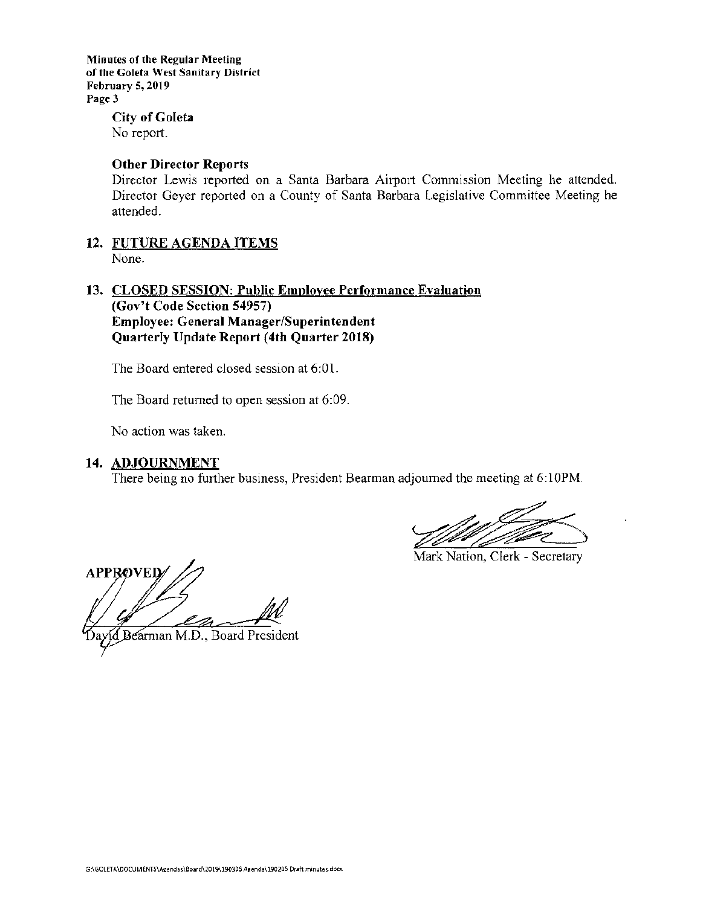**Minutes of the Regular Meeting of the Goleta West Sanitary District February 5, 2019 Page3** 

> **City of Goleta**  No report.

#### **Other Director Reports**

Director Lewis reported on a Santa Barbara Airport Commission Meeting he attended. Director Geyer reported on a County of Santa Barbara Legislative Committee Meeting he attended.

**12. FUTURE AGENDA ITEMS**  None.

#### **13. CLOSED SESSION: Public Employee Performance Evaluation (Gov't Code Section 54957) Employee: General Manager/Superintendent Quarterly Update Report (4th Quarter 2018)**

The Board entered closed session at 6:01.

The Board returned to open session at 6:09.

No action was taken.

#### **14. ADJOURNMENT**

There being no further business, President Bearman adjourned the meeting at 6:10PM.

Mark Nation, Clerk - Secretary

**APPROVEI** 

Bearman M.D., Board President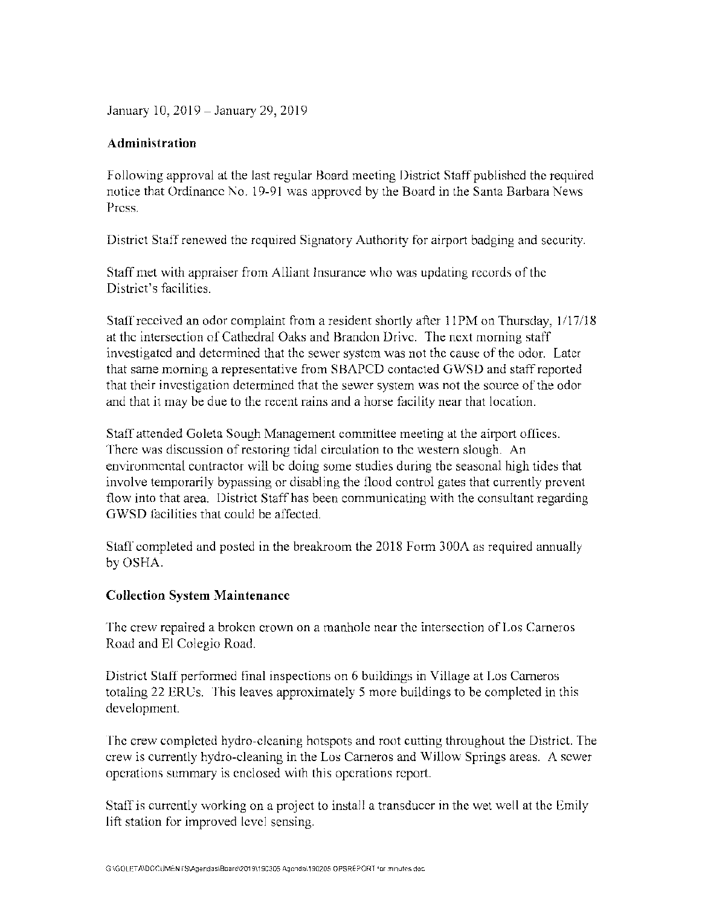January 10, 2019-January 29, 2019

#### **Administration**

Following approval at the last regular Board meeting District Staff published the required notice that Ordinance No. 19-91 was approved by the Board in the Santa Barbara News Press.

District Staff renewed the required Signatory Authority for airport badging and security.

Staff met with appraiser from Alliant Insurance who was updating records of the District's facilities.

Staff received an odor complaint from a resident shortly after 11PM on Thursday, 1/17/18 at the intersection of Cathedral Oaks and Brandon Drive. The next morning staff investigated and determined that the sewer system was not the cause of the odor. Later that same morning a representative from SBAPCD contacted GWSD and staff reported that their investigation determined that the sewer system was not the source of the odor and that it may be due to the recent rains and a horse facility near that location.

Staff attended Goleta Sough Management committee meeting at the airport offices. There was discussion of restoring tidal circulation to the western slough. An environmental contractor will be doing some studies during the seasonal high tides that involve temporarily bypassing or disabling the flood control gates that currently prevent flow into that area. District Staff has been communicating with the consultant regarding GWSD facilities that could be affected.

Staff completed and posted in the breakroom the 2018 Form 300A as required annually by OSHA.

#### **Collection System Maintenance**

The crew repaired a broken crown on a manhole near the intersection of Los Carneros Road and El Colegio Road.

District Staff performed final inspections on 6 buildings in Village at Los Carneros totaling 22 ERUs. This leaves approximately 5 more buildings to be completed in this development.

The crew completed hydro-cleaning hotspots and root cutting throughout the District. The crew is currently hydro-cleaning in the Los Cameros and Willow Springs areas. A sewer operations summary is enclosed with this operations report.

Staff is currently working on a project to install a transducer in the wet well at the Emily lift station for improved level sensing.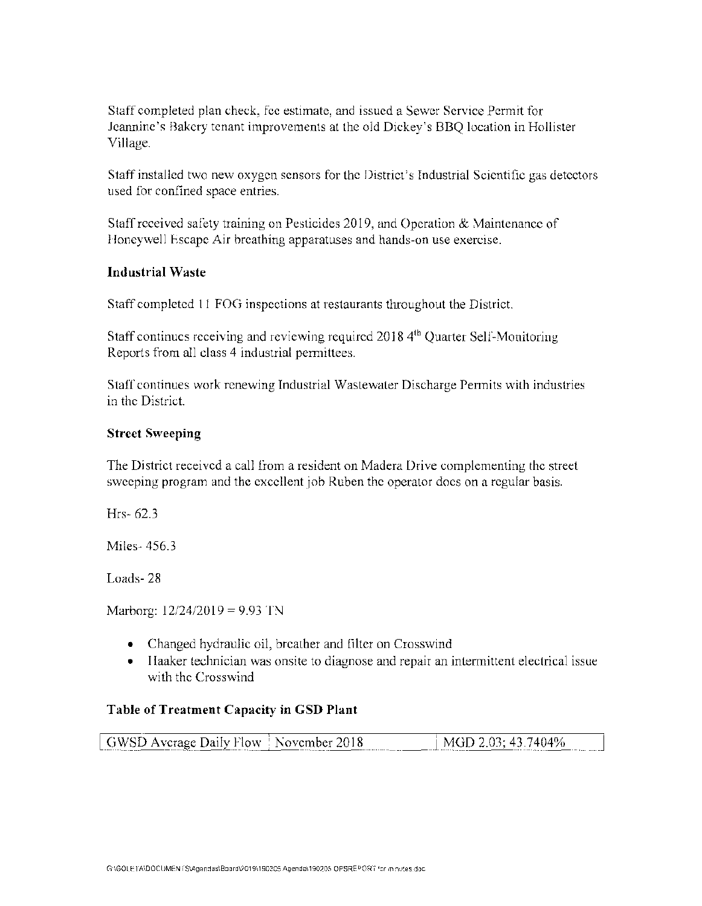Staff completed plan check, fee estimate, and issued a Sewer Service Permit for Jeannine's Bakery tenant improvements at the old Dickey's BBQ location in Hollister Village.

Staff installed two new oxygen sensors for the District's Industrial Scientific gas detectors used for confined space entries.

Staff received safety training on Pesticides 2019, and Operation & Maintenance of Honeywell Escape Air breathing apparatuses and hands-on use exercise.

## **Industrial Waste**

Staff completed 11 FOG inspections at restaurants throughout the District.

Staff continues receiving and reviewing required 2018 4<sup>th</sup> Quarter Self-Monitoring Reports from all class 4 industrial permittees.

Staff continues work renewing Industrial Wastewater Discharge Permits with industries in the District.

## **Street Sweeping**

The District received a call from a resident on Madera Drive complementing the street sweeping program and the excellent job Ruben the operator does on a regular basis.

Hrs- 62.3

Miles- 456.3

Loads- 28

Marborg: 12/24/2019 = 9.93 TN

- Changed hydraulic oil, breather and filter on Crosswind
- Haaker technician was onsite to diagnose and repair an intermittent electrical issue with the Crosswind

#### **Table of Treatment Capacity in GSD Plant**

| has a common a constitution of the property of the constitution of the constitution of the constitution of the<br>.<br>_________<br>The course of the first | GWSD Average Daily Flow <sup>3</sup> November 2018<br>$\pm$ MGD 2.03; 43.7404% |
|-------------------------------------------------------------------------------------------------------------------------------------------------------------|--------------------------------------------------------------------------------|
|-------------------------------------------------------------------------------------------------------------------------------------------------------------|--------------------------------------------------------------------------------|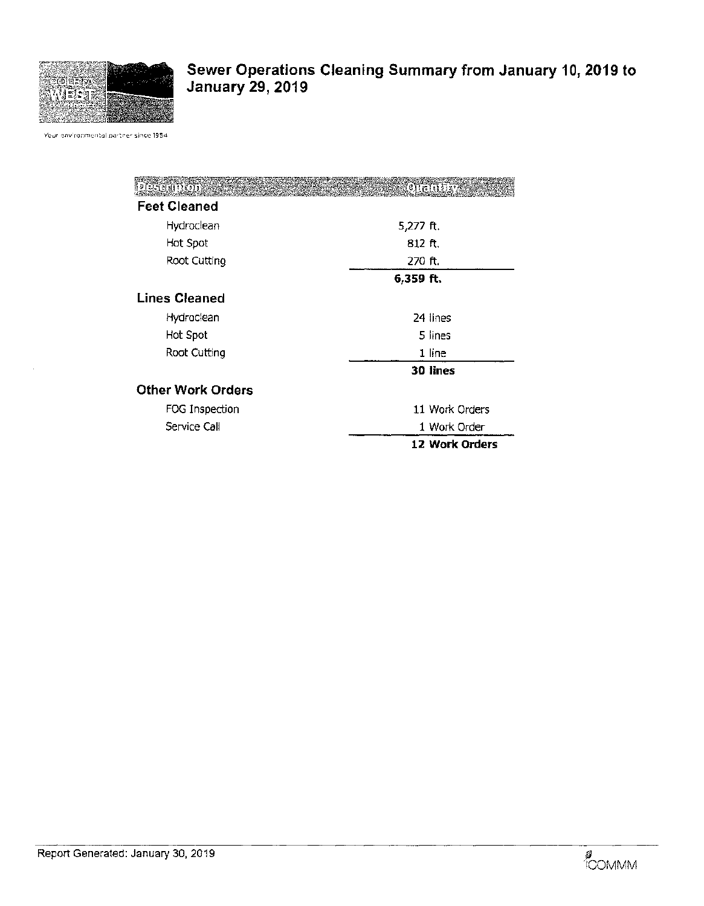

# **Sewer Operations Cleaning Summary from January 10, 2019 to January 29, 2019**

Your environmental partner since 1954

| DESCRIPTION              |             | KOIGHUN        |
|--------------------------|-------------|----------------|
| <b>Feet Cleaned</b>      |             |                |
| Hydroclean               | 5,277 $ft.$ |                |
| Hot Spot                 | 812 ft.     |                |
| Root Cutting             | 270 ft.     |                |
|                          | 6,359 ft.   |                |
| <b>Lines Cleaned</b>     |             |                |
| Hydroclean               |             | 24 lines       |
| Hot Spot                 |             | 5 lines        |
| Root Cutting             |             | 1 line         |
|                          |             | 30 lines       |
| <b>Other Work Orders</b> |             |                |
| FOG Inspection           |             | 11 Work Orders |
| Service Call             |             | 1 Work Order   |
|                          |             | 12 Work Orders |